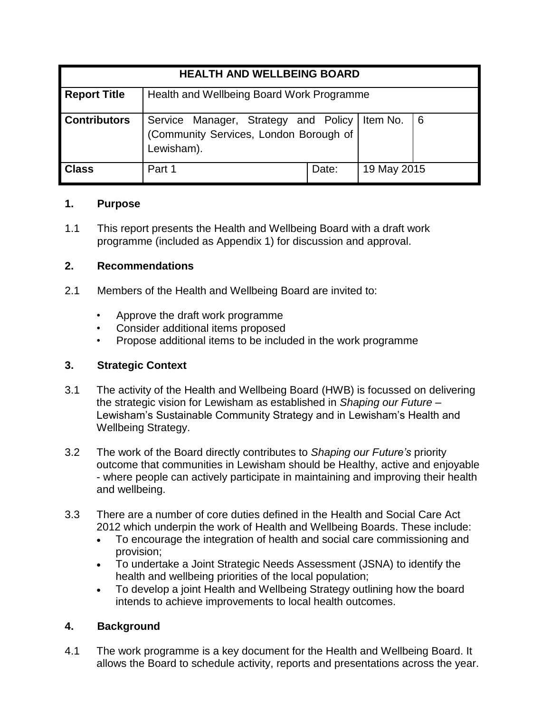| <b>HEALTH AND WELLBEING BOARD</b> |                                                                                                         |       |             |   |
|-----------------------------------|---------------------------------------------------------------------------------------------------------|-------|-------------|---|
| <b>Report Title</b>               | Health and Wellbeing Board Work Programme                                                               |       |             |   |
| <b>Contributors</b>               | Service Manager, Strategy and Policy   Item No.<br>(Community Services, London Borough of<br>Lewisham). |       |             | 6 |
| <b>Class</b>                      | Part 1                                                                                                  | Date: | 19 May 2015 |   |

# **1. Purpose**

1.1 This report presents the Health and Wellbeing Board with a draft work programme (included as Appendix 1) for discussion and approval.

# **2. Recommendations**

- 2.1 Members of the Health and Wellbeing Board are invited to:
	- Approve the draft work programme
	- Consider additional items proposed
	- Propose additional items to be included in the work programme

# **3. Strategic Context**

- 3.1 The activity of the Health and Wellbeing Board (HWB) is focussed on delivering the strategic vision for Lewisham as established in *Shaping our Future* – Lewisham's Sustainable Community Strategy and in Lewisham's Health and Wellbeing Strategy.
- 3.2 The work of the Board directly contributes to *Shaping our Future's* priority outcome that communities in Lewisham should be Healthy, active and enjoyable - where people can actively participate in maintaining and improving their health and wellbeing.
- 3.3 There are a number of core duties defined in the Health and Social Care Act 2012 which underpin the work of Health and Wellbeing Boards. These include:
	- To encourage the integration of health and social care commissioning and provision;
	- To undertake a Joint Strategic Needs Assessment (JSNA) to identify the health and wellbeing priorities of the local population;
	- To develop a joint Health and Wellbeing Strategy outlining how the board intends to achieve improvements to local health outcomes.

# **4. Background**

4.1 The work programme is a key document for the Health and Wellbeing Board. It allows the Board to schedule activity, reports and presentations across the year.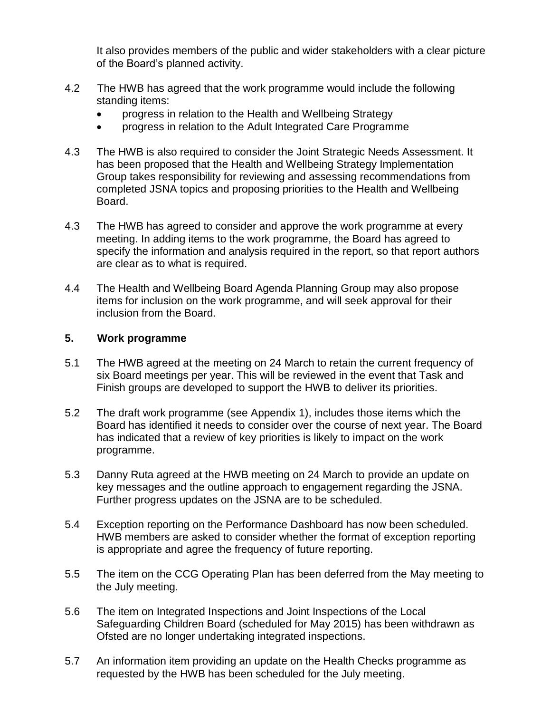It also provides members of the public and wider stakeholders with a clear picture of the Board's planned activity.

- 4.2 The HWB has agreed that the work programme would include the following standing items:
	- progress in relation to the Health and Wellbeing Strategy
	- progress in relation to the Adult Integrated Care Programme
- 4.3 The HWB is also required to consider the Joint Strategic Needs Assessment. It has been proposed that the Health and Wellbeing Strategy Implementation Group takes responsibility for reviewing and assessing recommendations from completed JSNA topics and proposing priorities to the Health and Wellbeing Board.
- 4.3 The HWB has agreed to consider and approve the work programme at every meeting. In adding items to the work programme, the Board has agreed to specify the information and analysis required in the report, so that report authors are clear as to what is required.
- 4.4 The Health and Wellbeing Board Agenda Planning Group may also propose items for inclusion on the work programme, and will seek approval for their inclusion from the Board.

### **5. Work programme**

- 5.1 The HWB agreed at the meeting on 24 March to retain the current frequency of six Board meetings per year. This will be reviewed in the event that Task and Finish groups are developed to support the HWB to deliver its priorities.
- 5.2 The draft work programme (see Appendix 1), includes those items which the Board has identified it needs to consider over the course of next year. The Board has indicated that a review of key priorities is likely to impact on the work programme.
- 5.3 Danny Ruta agreed at the HWB meeting on 24 March to provide an update on key messages and the outline approach to engagement regarding the JSNA. Further progress updates on the JSNA are to be scheduled.
- 5.4 Exception reporting on the Performance Dashboard has now been scheduled. HWB members are asked to consider whether the format of exception reporting is appropriate and agree the frequency of future reporting.
- 5.5 The item on the CCG Operating Plan has been deferred from the May meeting to the July meeting.
- 5.6 The item on Integrated Inspections and Joint Inspections of the Local Safeguarding Children Board (scheduled for May 2015) has been withdrawn as Ofsted are no longer undertaking integrated inspections.
- 5.7 An information item providing an update on the Health Checks programme as requested by the HWB has been scheduled for the July meeting.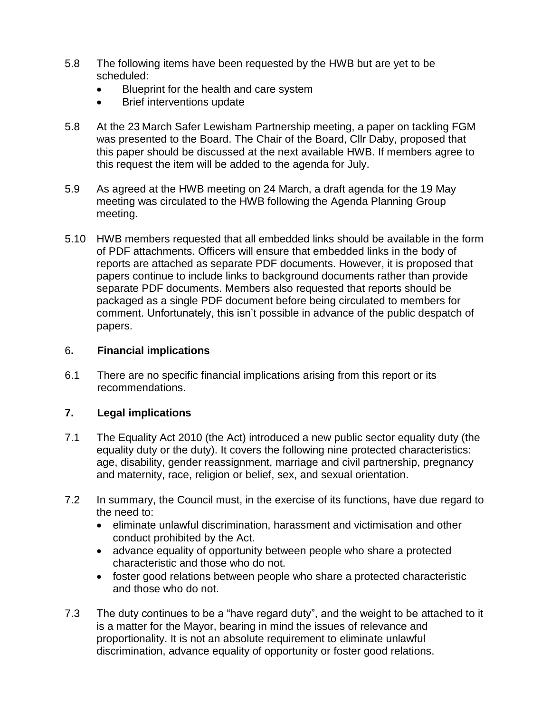- 5.8 The following items have been requested by the HWB but are yet to be scheduled:
	- Blueprint for the health and care system
	- Brief interventions update
- 5.8 At the 23 March Safer Lewisham Partnership meeting, a paper on tackling FGM was presented to the Board. The Chair of the Board, Cllr Daby, proposed that this paper should be discussed at the next available HWB. If members agree to this request the item will be added to the agenda for July.
- 5.9 As agreed at the HWB meeting on 24 March, a draft agenda for the 19 May meeting was circulated to the HWB following the Agenda Planning Group meeting.
- 5.10 HWB members requested that all embedded links should be available in the form of PDF attachments. Officers will ensure that embedded links in the body of reports are attached as separate PDF documents. However, it is proposed that papers continue to include links to background documents rather than provide separate PDF documents. Members also requested that reports should be packaged as a single PDF document before being circulated to members for comment. Unfortunately, this isn't possible in advance of the public despatch of papers.

### 6**. Financial implications**

6.1 There are no specific financial implications arising from this report or its recommendations.

# **7. Legal implications**

- 7.1 The Equality Act 2010 (the Act) introduced a new public sector equality duty (the equality duty or the duty). It covers the following nine protected characteristics: age, disability, gender reassignment, marriage and civil partnership, pregnancy and maternity, race, religion or belief, sex, and sexual orientation.
- 7.2 In summary, the Council must, in the exercise of its functions, have due regard to the need to:
	- eliminate unlawful discrimination, harassment and victimisation and other conduct prohibited by the Act.
	- advance equality of opportunity between people who share a protected characteristic and those who do not.
	- foster good relations between people who share a protected characteristic and those who do not.
- 7.3 The duty continues to be a "have regard duty", and the weight to be attached to it is a matter for the Mayor, bearing in mind the issues of relevance and proportionality. It is not an absolute requirement to eliminate unlawful discrimination, advance equality of opportunity or foster good relations.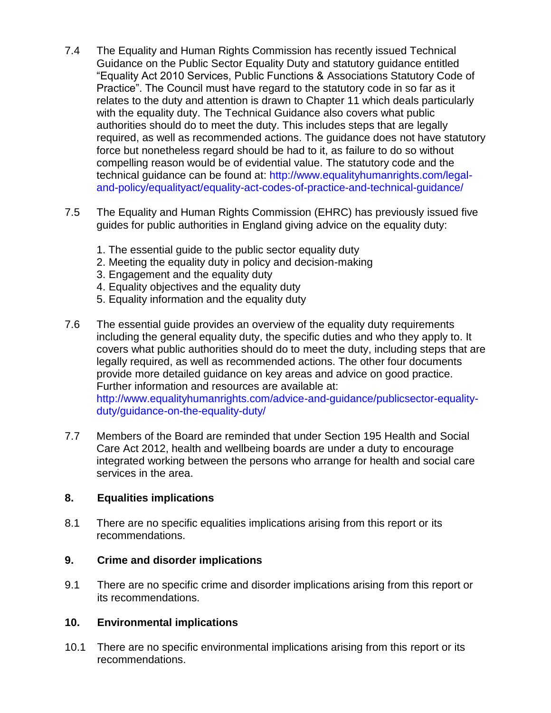- 7.4 The Equality and Human Rights Commission has recently issued Technical Guidance on the Public Sector Equality Duty and statutory guidance entitled "Equality Act 2010 Services, Public Functions & Associations Statutory Code of Practice". The Council must have regard to the statutory code in so far as it relates to the duty and attention is drawn to Chapter 11 which deals particularly with the equality duty. The Technical Guidance also covers what public authorities should do to meet the duty. This includes steps that are legally required, as well as recommended actions. The guidance does not have statutory force but nonetheless regard should be had to it, as failure to do so without compelling reason would be of evidential value. The statutory code and the technical guidance can be found at: http://www.equalityhumanrights.com/legaland-policy/equalityact/equality-act-codes-of-practice-and-technical-guidance/
- 7.5 The Equality and Human Rights Commission (EHRC) has previously issued five guides for public authorities in England giving advice on the equality duty:
	- 1. The essential guide to the public sector equality duty
	- 2. Meeting the equality duty in policy and decision-making
	- 3. Engagement and the equality duty
	- 4. Equality objectives and the equality duty
	- 5. Equality information and the equality duty
- 7.6 The essential guide provides an overview of the equality duty requirements including the general equality duty, the specific duties and who they apply to. It covers what public authorities should do to meet the duty, including steps that are legally required, as well as recommended actions. The other four documents provide more detailed guidance on key areas and advice on good practice. Further information and resources are available at: http://www.equalityhumanrights.com/advice-and-guidance/publicsector-equalityduty/guidance-on-the-equality-duty/
- 7.7 Members of the Board are reminded that under Section 195 Health and Social Care Act 2012, health and wellbeing boards are under a duty to encourage integrated working between the persons who arrange for health and social care services in the area.

### **8. Equalities implications**

8.1 There are no specific equalities implications arising from this report or its recommendations.

### **9. Crime and disorder implications**

9.1 There are no specific crime and disorder implications arising from this report or its recommendations.

### **10. Environmental implications**

10.1 There are no specific environmental implications arising from this report or its recommendations.